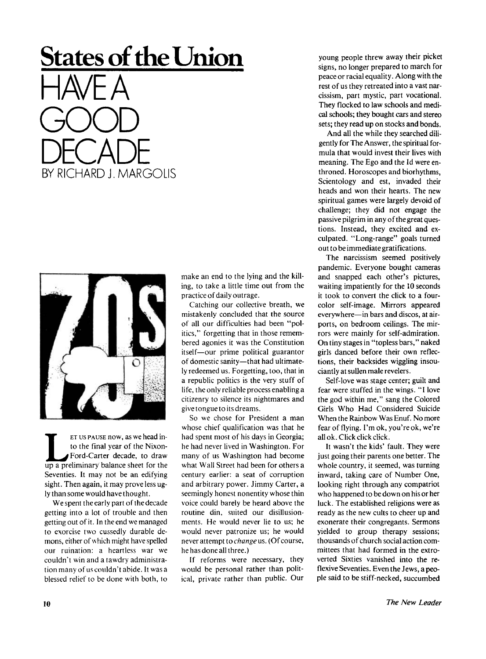## **States of the Union**  HAVE A GOOD DECADE BY RICHARD J. MARGOLIS



ET US PAUSE now, as we head in-<br>to the final year of the Nixon-<br>Ford-Carter decade, to draw<br>up a preliminary balance sheet for the **<sup>E</sup> <sup>T</sup>** us **PAUSE** now, as we head into the final year of the Nixon-Ford-Carter decade, to draw Seventies. It may not be an edifying sight. Then again, it may prove less ugly than some would have thought.

We spent the early part of the decade getting into a lot of trouble and then getting out of it. In the end we managed to exorcise two cussedly durable demons, either of which might have spelled our ruination: a heartless war we couldn't win and a tawdry administration many of us couldn't abide. It was a blessed relief to be done with both, to

make an end to the lying and the killing, to take a little time out from the practice of daily outrage.

Catching our collective breath, we mistakenly concluded that the source of all our difficulties had been "politics," forgetting that in those remembered agonies it was the Constitution itself—our prime political guarantor of domestic sanity—that had ultimately redeemed us. Forgetting, too, that in a republic politics is the very stuff of life, the only reliable process enabling a citizenry to silence its nightmares and give tongue to its dreams.

So we chose for President a man whose chief qualification was that he had spent most of his days in Georgia; he had never lived in Washington. For many of us Washington had become what Wall Street had been for others a century earlier: a seat of corruption and arbitrary power. Jimmy Carter, a seemingly honest nonentity whose thin voice could barely be heard above the routine din, suited our disillusionments. He would never lie to us; he would never patronize us; he would never attempt to *change* us. (Of course, he has done all three.)

If reforms were necessary, they would be personal rather than political, private rather than public. Our

young people threw away their picket signs, no longer prepared to march for peace or racial equality. Along with the rest of us they retreated into a vast narcissism, part mystic, part vocational. They flocked to law schools and medical schools; they bought cars and stereo sets; they read up on stocks and bonds.

And all the while they searched diligently for The Answer, the spiritual formula that would invest their lives with meaning. The Ego and the Id were enthroned. Horoscopes and biorhythms, Scientology and est, invaded their heads and won their hearts. The new spiritual games were largely devoid of challenge; they did not engage the passive pilgrim in any of the great questions. Instead, they excited and exculpated. "Long-range" goals turned out to be immediate gratifications.

The narcissism seemed positively pandemic. Everyone bought cameras and snapped each other's pictures, waiting impatiently for the 10 seconds it took to convert the click to a fourcolor self-image. Mirrors appeared everywhere—in bars and discos, at airports, on bedroom ceilings. The mirrors were mainly for self-admiration. On tiny stages in "topless bars," naked girls danced before their own reflections, their backsides wiggling insouciantly at sullen male revelers.

Self-love was stage center; guilt and fear were stuffed in the wings. "I love the god within me," sang the Colored Girls Who Had Considered Suicide When the Rainbow Was Enuf. No more fear of flying. I'm ok, you're ok, we're all ok. Click click click.

It wasn't the kids' fault. They were just going their parents one better. The whole country, it seemed, was turning inward, taking care of Number One, looking right through any compatriot who happened to be down on his or her luck. The established religions were as ready as the new cults to cheer up and exonerate their congregants. Sermons yielded to group therapy sessions; thousands of church social action committees that had formed in the extroverted Sixties vanished into the reflexive Seventies. Even the Jews, a people said to be stiff-necked, succumbed